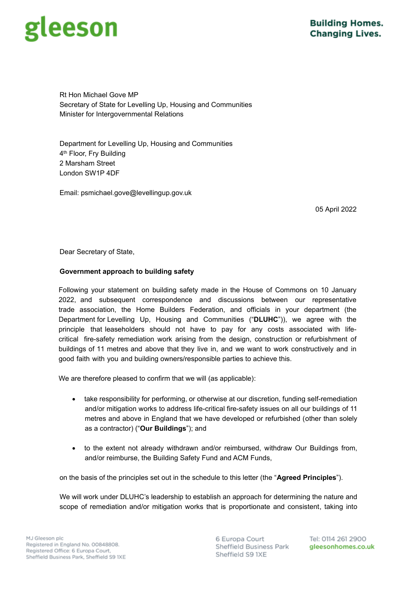# eeson

Rt Hon Michael Gove MP Secretary of State for Levelling Up, Housing and Communities Minister for Intergovernmental Relations

Department for Levelling Up, Housing and Communities 4<sup>th</sup> Floor, Fry Building 2 Marsham Street London SW1P 4DF

Email: psmichael.gove@levellingup.gov.uk

05 April 2022

Dear Secretary of State,

# **Government approach to building safety**

Following your statement on building safety made in the House of Commons on 10 January 2022, and subsequent correspondence and discussions between our representative trade association, the Home Builders Federation, and officials in your department (the Department for Levelling Up, Housing and Communities ("**DLUHC**")), we agree with the principle that leaseholders should not have to pay for any costs associated with lifecritical fire-safety remediation work arising from the design, construction or refurbishment of buildings of 11 metres and above that they live in, and we want to work constructively and in good faith with you and building owners/responsible parties to achieve this.

We are therefore pleased to confirm that we will (as applicable):

- take responsibility for performing, or otherwise at our discretion, funding self-remediation and/or mitigation works to address life-critical fire-safety issues on all our buildings of 11 metres and above in England that we have developed or refurbished (other than solely as a contractor) ("**Our Buildings**"); and
- to the extent not already withdrawn and/or reimbursed, withdraw Our Buildings from, and/or reimburse, the Building Safety Fund and ACM Funds,

on the basis of the principles set out in the schedule to this letter (the "**Agreed Principles**").

We will work under DLUHC's leadership to establish an approach for determining the nature and scope of remediation and/or mitigation works that is proportionate and consistent, taking into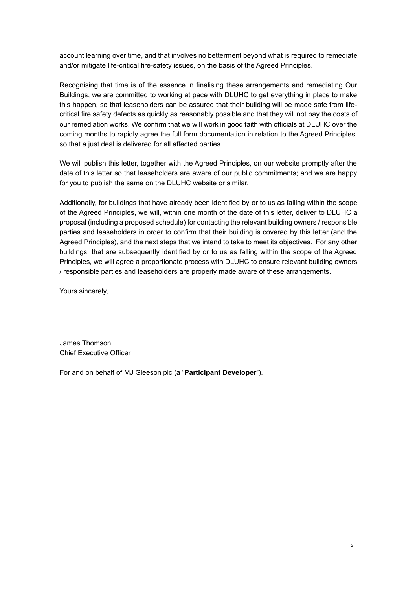account learning over time, and that involves no betterment beyond what is required to remediate and/or mitigate life-critical fire-safety issues, on the basis of the Agreed Principles.

Recognising that time is of the essence in finalising these arrangements and remediating Our Buildings, we are committed to working at pace with DLUHC to get everything in place to make this happen, so that leaseholders can be assured that their building will be made safe from lifecritical fire safety defects as quickly as reasonably possible and that they will not pay the costs of our remediation works. We confirm that we will work in good faith with officials at DLUHC over the coming months to rapidly agree the full form documentation in relation to the Agreed Principles, so that a just deal is delivered for all affected parties.

We will publish this letter, together with the Agreed Principles, on our website promptly after the date of this letter so that leaseholders are aware of our public commitments; and we are happy for you to publish the same on the DLUHC website or similar.

Additionally, for buildings that have already been identified by or to us as falling within the scope of the Agreed Principles, we will, within one month of the date of this letter, deliver to DLUHC a proposal (including a proposed schedule) for contacting the relevant building owners / responsible parties and leaseholders in order to confirm that their building is covered by this letter (and the Agreed Principles), and the next steps that we intend to take to meet its objectives. For any other buildings, that are subsequently identified by or to us as falling within the scope of the Agreed Principles, we will agree a proportionate process with DLUHC to ensure relevant building owners / responsible parties and leaseholders are properly made aware of these arrangements.

Yours sincerely,

................................................

James Thomson Chief Executive Officer

For and on behalf of MJ Gleeson plc (a "**Participant Developer**").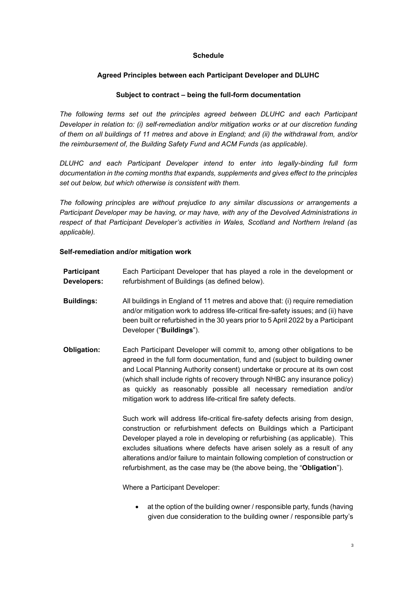### **Schedule**

## **Agreed Principles between each Participant Developer and DLUHC**

### **Subject to contract – being the full-form documentation**

*The following terms set out the principles agreed between DLUHC and each Participant Developer in relation to: (i) self-remediation and/or mitigation works or at our discretion funding of them on all buildings of 11 metres and above in England; and (ii) the withdrawal from, and/or the reimbursement of, the Building Safety Fund and ACM Funds (as applicable).* 

*DLUHC and each Participant Developer intend to enter into legally-binding full form documentation in the coming months that expands, supplements and gives effect to the principles set out below, but which otherwise is consistent with them.*

*The following principles are without prejudice to any similar discussions or arrangements a Participant Developer may be having, or may have, with any of the Devolved Administrations in respect of that Participant Developer's activities in Wales, Scotland and Northern Ireland (as applicable).* 

#### **Self-remediation and/or mitigation work**

| Participant | Each Participant Developer that has played a role in the development or |
|-------------|-------------------------------------------------------------------------|
| Developers: | refurbishment of Buildings (as defined below).                          |

- **Buildings:** All buildings in England of 11 metres and above that: (i) require remediation and/or mitigation work to address life-critical fire-safety issues; and (ii) have been built or refurbished in the 30 years prior to 5 April 2022 by a Participant Developer ("**Buildings**").
- **Obligation:** Each Participant Developer will commit to, among other obligations to be agreed in the full form documentation, fund and (subject to building owner and Local Planning Authority consent) undertake or procure at its own cost (which shall include rights of recovery through NHBC any insurance policy) as quickly as reasonably possible all necessary remediation and/or mitigation work to address life-critical fire safety defects.

Such work will address life-critical fire-safety defects arising from design, construction or refurbishment defects on Buildings which a Participant Developer played a role in developing or refurbishing (as applicable). This excludes situations where defects have arisen solely as a result of any alterations and/or failure to maintain following completion of construction or refurbishment, as the case may be (the above being, the "**Obligation**").

Where a Participant Developer:

• at the option of the building owner / responsible party, funds (having given due consideration to the building owner / responsible party's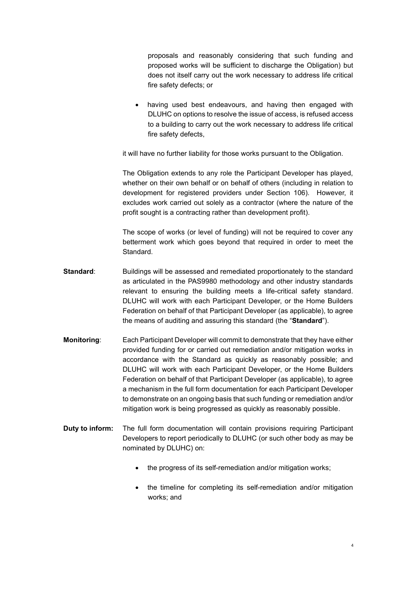proposals and reasonably considering that such funding and proposed works will be sufficient to discharge the Obligation) but does not itself carry out the work necessary to address life critical fire safety defects; or

having used best endeavours, and having then engaged with DLUHC on options to resolve the issue of access, is refused access to a building to carry out the work necessary to address life critical fire safety defects,

it will have no further liability for those works pursuant to the Obligation.

The Obligation extends to any role the Participant Developer has played, whether on their own behalf or on behalf of others (including in relation to development for registered providers under Section 106). However, it excludes work carried out solely as a contractor (where the nature of the profit sought is a contracting rather than development profit).

The scope of works (or level of funding) will not be required to cover any betterment work which goes beyond that required in order to meet the Standard.

- **Standard**: Buildings will be assessed and remediated proportionately to the standard as articulated in the PAS9980 methodology and other industry standards relevant to ensuring the building meets a life-critical safety standard. DLUHC will work with each Participant Developer, or the Home Builders Federation on behalf of that Participant Developer (as applicable), to agree the means of auditing and assuring this standard (the "**Standard**").
- **Monitoring**: Each Participant Developer will commit to demonstrate that they have either provided funding for or carried out remediation and/or mitigation works in accordance with the Standard as quickly as reasonably possible; and DLUHC will work with each Participant Developer, or the Home Builders Federation on behalf of that Participant Developer (as applicable), to agree a mechanism in the full form documentation for each Participant Developer to demonstrate on an ongoing basis that such funding or remediation and/or mitigation work is being progressed as quickly as reasonably possible.
- **Duty to inform:** The full form documentation will contain provisions requiring Participant Developers to report periodically to DLUHC (or such other body as may be nominated by DLUHC) on:
	- the progress of its self-remediation and/or mitigation works;
	- the timeline for completing its self-remediation and/or mitigation works; and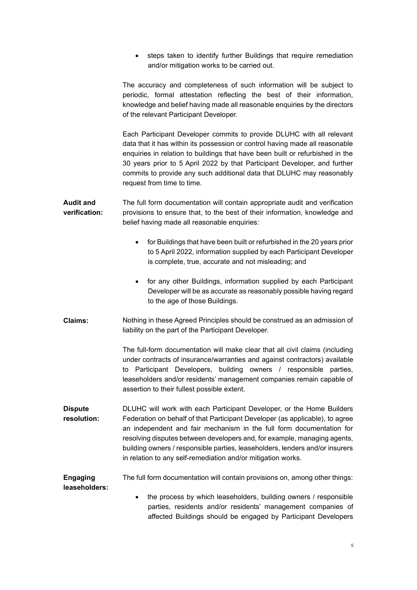• steps taken to identify further Buildings that require remediation and/or mitigation works to be carried out.

The accuracy and completeness of such information will be subject to periodic, formal attestation reflecting the best of their information, knowledge and belief having made all reasonable enquiries by the directors of the relevant Participant Developer.

Each Participant Developer commits to provide DLUHC with all relevant data that it has within its possession or control having made all reasonable enquiries in relation to buildings that have been built or refurbished in the 30 years prior to 5 April 2022 by that Participant Developer, and further commits to provide any such additional data that DLUHC may reasonably request from time to time.

- **Audit and verification:** The full form documentation will contain appropriate audit and verification provisions to ensure that, to the best of their information, knowledge and belief having made all reasonable enquiries:
	- for Buildings that have been built or refurbished in the 20 years prior to 5 April 2022, information supplied by each Participant Developer is complete, true, accurate and not misleading; and
	- for any other Buildings, information supplied by each Participant Developer will be as accurate as reasonably possible having regard to the age of those Buildings.
- **Claims:** Nothing in these Agreed Principles should be construed as an admission of liability on the part of the Participant Developer.

The full-form documentation will make clear that all civil claims (including under contracts of insurance/warranties and against contractors) available to Participant Developers, building owners / responsible parties, leaseholders and/or residents' management companies remain capable of assertion to their fullest possible extent.

**Dispute resolution:** DLUHC will work with each Participant Developer, or the Home Builders Federation on behalf of that Participant Developer (as applicable), to agree an independent and fair mechanism in the full form documentation for resolving disputes between developers and, for example, managing agents, building owners / responsible parties, leaseholders, lenders and/or insurers in relation to any self-remediation and/or mitigation works.

#### **Engaging leaseholders:** The full form documentation will contain provisions on, among other things:

• the process by which leaseholders, building owners / responsible parties, residents and/or residents' management companies of affected Buildings should be engaged by Participant Developers